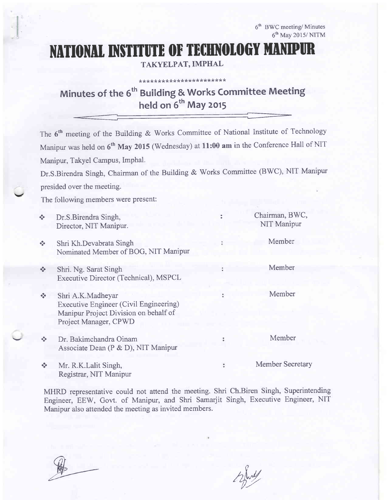6<sup>th</sup> BWC meeting/ Minutes 6'h Mav 2015/ NITM

# NATIONAL INSTITUTE OF TECHNOLOGY MANIPUR

TAKYELPAT, IMPHAL

\*\*\*\*\*\*\*\*\*\*\*\*\*\*\*\*\*\*\*

## Minutes of the 6<sup>th</sup> Building & Works Committee Meeting held on  $6^{th}$  May 2015  $\overline{a}$

The  $6<sup>th</sup>$  meeting of the Building & Works Committee of National Institute of Technology Manipur was held on 6<sup>th</sup> May 2015 (Wednesday) at 11:00 am in the Conference Hall of NIT Manipur, Takyel Campus, Imphal.

Dr.S.Birendra Singh, Chairman of the Building & Works Committee (BWC), NIT Manipur presided over the meeting.

The following members were present:

 $\checkmark$ 

| $\frac{\partial}{\partial x^{\alpha}}$ | Dr.S.Birendra Singh,<br>Director, NIT Manipur.                                                                                       | Chairman, BWC,<br>NIT Manipur |
|----------------------------------------|--------------------------------------------------------------------------------------------------------------------------------------|-------------------------------|
| $\frac{\partial}{\partial t} \Phi$     | Shri Kh.Devabrata Singh<br>Nominated Member of BOG, NIT Manipur                                                                      | Member                        |
| $\Phi_{\Phi}^{\Psi_{\Phi}}$            | Shri. Ng. Sarat Singh<br>Executive Director (Technical), MSPCL                                                                       | Member                        |
| $\frac{1}{2}$                          | Shri A.K.Madheyar<br><b>Executive Engineer (Civil Engineering)</b><br>Manipur Project Division on behalf of<br>Project Manager, CPWD | Member                        |
| $\frac{1}{2}$                          | Dr. Bakimchandra Oinam<br>Associate Dean (P & D), NIT Manipur                                                                        | Member                        |
| $\frac{\partial}{\partial \phi} \phi$  | Mr. R.K.Lalit Singh,<br>Registrar, NIT Manipur                                                                                       | Member Secretary              |

MHRD representative could not attend the meeting. Shri Ch.Biren Singh, Superintending Engineer, EEW, Govt. of Manipur, and Shri Samarjit Singh, Executive Engineer, NIT Manipur also attended the meeting as invited members.

 $\n *W*,\n *W*,\n *W*,\n *W*,\n *W*,\n *W*,\n *W*,\n *W*,\n *W*,\n *W*,\n *W*,\n *W*,\n *W*,\n *W*,\n *W*,\n *W*,\n *W*,\n *W*,\n *W*,\n *W*,\n *W*,\n *W*,\$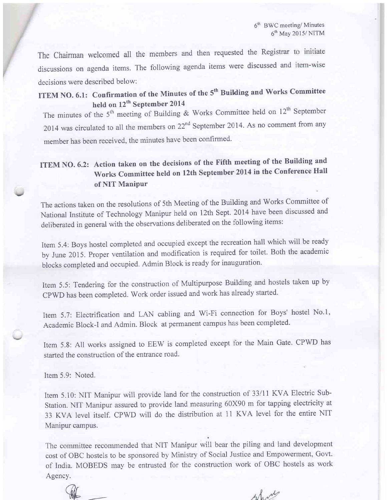6<sup>th</sup> BWC meeting/ Minutes  $6<sup>th</sup>$  May 2015/ NITM

The Chairman welcomed all the members and then requested the Registrar to initiate discussions on agenda items. The following agenda items were discussed and decisions were described below:

ITEM NO. 6.1: Confirmation of the Minutes of the 5<sup>th</sup> Building and Works Committee held on 12<sup>th</sup> September 2014

The minutes of the  $5<sup>th</sup>$  meeting of Building & Works Committee held on  $12<sup>th</sup>$  September 2014 was circulated to all the members on  $22^{nd}$  September 2014. As no comment from any member has been received, the minutes have been confirmed.

## ITEM NO. 6.2: Action taken on the decisions of the Fifth meeting of the Building and Works Committee held on 12th September 2014 in the Conference Hall of NIT Manipur

The actions taken on the resolutions of 5th Meeting of the Building and Works Committee of National Institute of Technology Manipur held on 12th Sept. 2014 have been discussed and deliberated in general with the observations deliberated on the following items:

Item 5.4: Boys hostel compieted and occupied except the recreation hall which will be ready by June 2015. proper ventilation and modification is required for toilet. Both the academic blocks completed and occupied. Admin Block is ready for inauguration.

Item 5.5: Tendering for the construction of Multipurpose Building and hostels taken up by CpWD has been completed. Work order issued and work has already started.

Item 5.7: Electrification and LAN cabling and Wi-Fi connection for Boys' hostel No.1, Academic Block-I and Admin. Block at permanent campus has been completed.

Item 5.8: All works assigned to EEW is completed except for the Main Gate. CPWD has started the construction of the entrance road.

Item 5.9: Noted.

Item 5.10: NIT Manipur will provide land for the construction of 33/11 KVA Electric Sub-Station. NIT Manipur assured to provide land measuring 60X90 m for tapping electricity at 33 KVA level itself. CPWD will do the distribution at 11 KVA level for the entire NIT Manipur campus.

The committee recommended that NIT Manipur will bear the piling and land development cost of OBC hostels to be sponsored by Ministry of Social Justice and Empowerment, Govt. of India. MOBEDS may be entrusted for the construction work of OBC hostels as work Agency.

 $\mathscr{X}$ 

show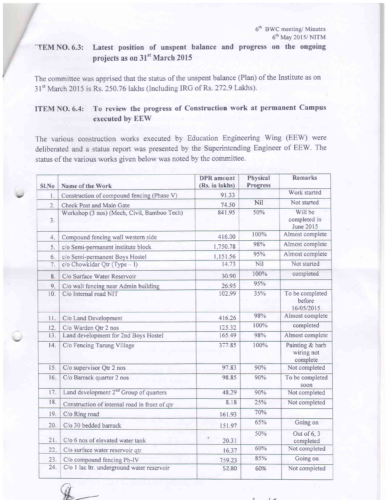6<sup>th</sup> BWC meeting/ Minutes 6'h May 2015/ NITM

## -TEM NO. 6.3: Latest position of unspent balance and progress on the ongoing projects as on 31<sup>st</sup> March 2015

The committee was apprised that the status of the unspent balance (Plan) of the Institute as on 31<sup>st</sup> March 2015 is Rs. 250.76 lakhs (Including IRG of Rs. 272.9 Lakhs).

### ITEM NO. 6.4: To review the progress of Construction work at permanent Campus executed bv EEW

The various construction works executed by Education Engineering Wing (EEW) were deliberated and a status report was presented by the Superintending Engineer of EEW. The status of the various works given below was noted by the committee.

| Sl.No            | Name of the Work                                   | <b>DPR</b> amount<br>(Rs. in lakhs) | Physical<br><b>Progress</b> | <b>Remarks</b>                            |
|------------------|----------------------------------------------------|-------------------------------------|-----------------------------|-------------------------------------------|
| 1.               | Construction of compound fencing (Phase V)         | 91.33                               |                             | Work started                              |
| $\overline{2}$ . | Check Post and Main Gate                           | 74.50                               | Nil                         | Not started                               |
| 3.               | Workshop (3 nos) (Mech, Civil, Bamboo Tech)        | 841.95                              | 50%                         | Will be<br>completed in<br>June 2015      |
| 4.               | Compound fencing wall western side                 | 416.00                              | 100%                        | Almost complete                           |
| 5.               | c/o Semi-permanent institute block                 | 1,750.78                            | 98%                         | Almost complete                           |
| 6.               | c/o Semi-permanent Boys Hostel                     | 1,151.56                            | 95%                         | Almost complete                           |
| 7.               | $c/o$ Chowkidar Qtr (Type - I)                     | 14.73                               | Nil                         | Not started                               |
| 8.               | C/o Surface Water Reservoir                        | 30.90                               | 100%                        | completed                                 |
| 9.               | C/o wall fencing near Admin building               | 26.95                               | 95%                         |                                           |
| 10.              | C/o Internal road NIT                              | 102.99                              | 35%                         | To be completed<br>before<br>16/05/2015   |
| 11.              | C/o Land Development                               | 416.26                              | 98%                         | Almost complete                           |
| 12.              | C/o Warden Otr 2 nos                               | 125.32                              | 100%                        | completed                                 |
| 13.              | Land development for 2nd Boys Hostel               | 165.49                              | 98%                         | Almost complete                           |
| 14.              | C/o Fencing Tarung Village                         | 377.85                              | 100%                        | Painting & barb<br>wiring not<br>complete |
| 15.              | C/o supervisor Qtr 2 nos                           | 97.83                               | 90%                         | Not completed                             |
| 16.              | C/o Barrack quarter 2 nos                          | 98.85                               | 90%                         | To be completed<br>soon                   |
| 17.              | Land development 2 <sup>nd</sup> Group of quarters | 48.29                               | 90%                         | Not completed                             |
| 18.              | Construction of internal road in front of qtr      | 8.18                                | 25%                         | Not completed                             |
| 19.              | C/o Ring road                                      | 161.93                              | 70%                         |                                           |
| 20.              | C/o 30 bedded barrack                              | 151.97                              | 65%                         | Going on                                  |
| 21.              | C/o 6 nos of elevated water tank                   | 20.31                               | 50%                         | Out of 6, 3<br>completed                  |
| 22.              | C/o surface water reservoir qtr                    | 16.37                               | 60%                         | Not completed                             |
| 23.              | C/o compound fencing Ph-IV                         | 759.23                              | 85%                         | Going on                                  |
| 24.              | C/o 1 lac ltr. underground water reservoir         | 52.80                               | 60%                         | Not completed                             |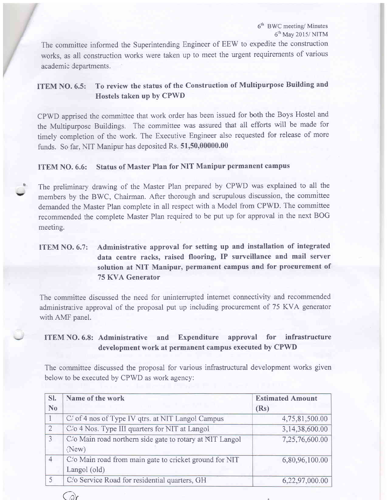6'h BWC meeting/ Minutes 6'h May 2015/ NITM

The committee informed the Superintending Engineer of EEW to expedite the construction works, as all construction works were taken up to meet the urgent requirements of various academic departments.

## ITEM NO.6.5: To review the status of the Construction of Multipurpose Building and Hostels taken up by CPWD

CPWD apprised the committee that work order has been issued for both the Boys Hostel and the Multipurpose Buildings. The committee was assured that all efforts will be made for timely completion of the work. The Executive Engineer also requested for release of more funds. So far, NIT Manipur has deposited Rs. 51,50,00000.00

#### ITEM NO. 6.6: Status of Master Plan for NIT Manipur permanent campus

The preliminary drawing of the Master Plan prepared by CPWD was explained to all the members by the BWC, Chairman. After thorough and scrupulous discussion, the committee demanded the Master Plan complete in all respect with a Model from CPWD. The committee recommended the complete Master Plan required to be put up for approval in the next BOG meeting.

### ITEM NO. 6.7: Administrative approval for setting up and installation of integrated data centre racks, raised flooring, IP surveillance and mail server solution at NIT Manipur, permanent campus and for procurement of 75 KVA Generator

The committee discussed the need for uninterrupted internet connectivity and recommended administra:ive approval of the proposal put up including procurement of 75 KVA generator with AMF panel.

#### ITEM \O. 6.8: Administrative and Expenditure approval for infrastructure development work at permanent campus executed by CPWD

The committee discussed the proposal for various infrastructural development works given below to be executed by CPWD as work agency:

| Name of the work                                                  | <b>Estimated Amount</b>                                       |
|-------------------------------------------------------------------|---------------------------------------------------------------|
|                                                                   | (Rs)                                                          |
| C' of 4 nos of Type IV qtrs. at NIT Langol Campus                 | 4,75,81,500.00                                                |
| C/o 4 Nos. Type III quarters for NIT at Langol                    | 3,14,38,600.00                                                |
| C'o Main road northern side gate to rotary at NIT Langol<br>(New) | 7,25,76,600.00                                                |
| C/o Main road from main gate to cricket ground for NIT            | 6,80,96,100.00                                                |
|                                                                   | 6,22,97,000.00                                                |
|                                                                   | Langol (old)<br>C'o Service Road for residential quarters, GH |



v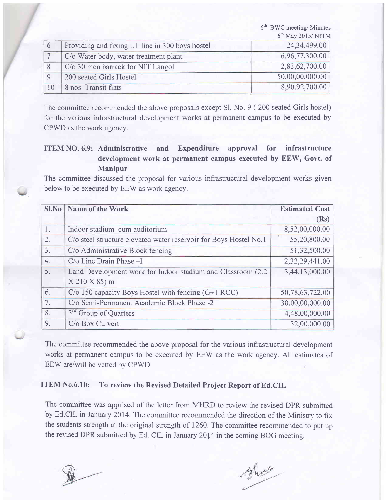|              |                                                 | 6 <sup>th</sup> BWC meeting/ Minutes |
|--------------|-------------------------------------------------|--------------------------------------|
|              |                                                 | 6 <sup>th</sup> May 2015/NITM        |
| 6            | Providing and fixing LT line in 300 boys hostel | 24,34,499.00                         |
|              | C/o Water body, water treatment plant           | 6,96,77,300.00                       |
|              | C/o 30 men barrack for NIT Langol               | 2,83,62,700.00                       |
| $\mathsf{Q}$ | 200 seated Girls Hostel                         | 50,00,00,000.00                      |
| 10           | 8 nos. Transit flats                            | 8,90,92,700.00                       |

The committee recommended the above proposals except Sl. No. 9 ( 200 seated Girls hostel) for the various infrastructural development works at permanent campus to be executed by CPWD as the work agency.

#### ITEM NO. 6.9: Administrative and Expenditure approval for infrastructure development work at permanent campus executed by EEW, Govt. of Manipur

The committee discussed the proposal for various infrastructural development works given below to be executed by EEW as work agency:

|                  | Sl.No   Name of the Work                                          | <b>Estimated Cost</b> |
|------------------|-------------------------------------------------------------------|-----------------------|
|                  |                                                                   | (Rs)                  |
| 1.               | Indoor stadium cum auditorium                                     | 8,52,00,000.00        |
| 2.               | C/o steel structure elevated water reservoir for Boys Hostel No.1 | 55,20,800.00          |
| $\overline{3}$ . | C/o Administrative Block fencing                                  | 51,32,500.00          |
| 4.               | C/o Line Drain Phase -I                                           | 2,32,29,441.00        |
| 5.               | Land Development work for Indoor stadium and Classroom (2.2)      | 3,44,13,000.00        |
|                  | X 210 X 85) m                                                     |                       |
| 6.               | $C/O$ 150 capacity Boys Hostel with fencing $(G+1 \text{ RCC})$   | 50,78,63,722.00       |
| 7.               | C/o Semi-Permanent Academic Block Phase -2                        | 30,00,00,000.00       |
| 8.               | 3 <sup>rd</sup> Group of Quarters                                 | 4,48,00,000.00        |
| 9.               | C/o Box Culvert                                                   | 32,00,000.00          |

The committee recommended the above proposal for the various infrastructural development works at permanent campus to be executed by EEW as the work agency. All estimates of EEW are/will be vetted by CPWD.

#### ITEM No.6.l0: To review the Revised Detailed Project Report of Ed.CIL

The committee was apprised of the letter from MHRD to review the revised DPR submitted by Ed.CIL in January 2014. The committee recommended the direction of the Ministry to fix the students strength at the original strength of 1260. The committee recommended to put up the revised DPR submitted by Ed. CIL in January 2014 in the coming BOG meeting.

Short